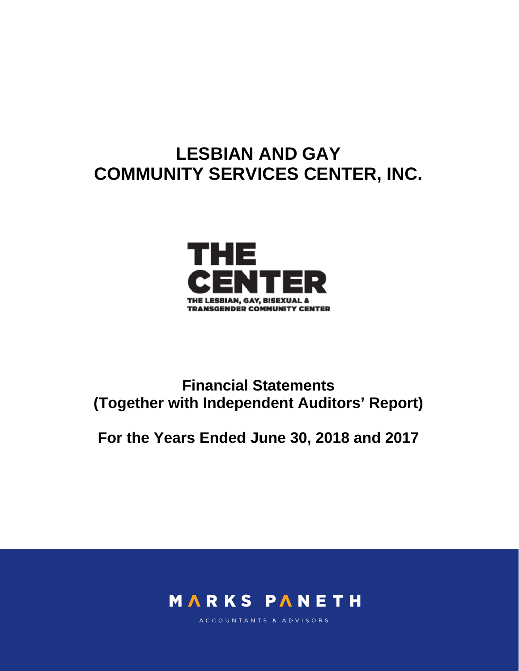# **LESBIAN AND GAY COMMUNITY SERVICES CENTER, INC.**



# **Financial Statements (Together with Independent Auditors' Report)**

# **For the Years Ended June 30, 2018 and 2017**



ACCOUNTANTS & ADVISORS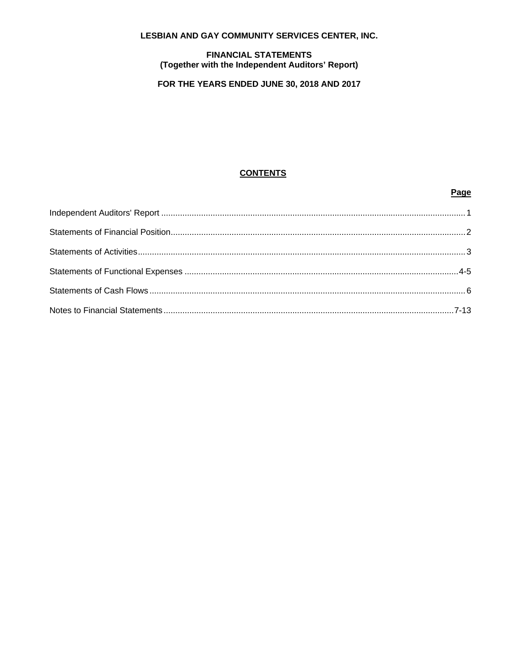### LESBIAN AND GAY COMMUNITY SERVICES CENTER, INC.

# **FINANCIAL STATEMENTS** (Together with the Independent Auditors' Report)

# FOR THE YEARS ENDED JUNE 30, 2018 AND 2017

# **CONTENTS**

### Page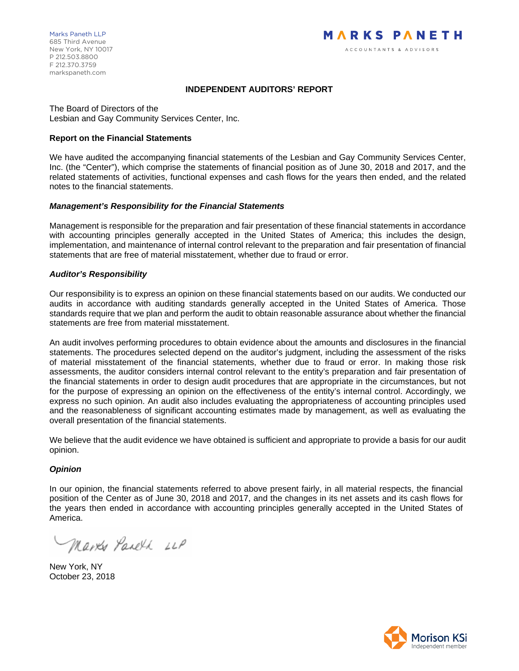### **INDEPENDENT AUDITORS' REPORT**

The Board of Directors of the Lesbian and Gay Community Services Center, Inc.

#### **Report on the Financial Statements**

We have audited the accompanying financial statements of the Lesbian and Gay Community Services Center, Inc. (the "Center"), which comprise the statements of financial position as of June 30, 2018 and 2017, and the related statements of activities, functional expenses and cash flows for the years then ended, and the related notes to the financial statements.

#### *Management's Responsibility for the Financial Statements*

Management is responsible for the preparation and fair presentation of these financial statements in accordance with accounting principles generally accepted in the United States of America; this includes the design, implementation, and maintenance of internal control relevant to the preparation and fair presentation of financial statements that are free of material misstatement, whether due to fraud or error.

#### *Auditor's Responsibility*

Our responsibility is to express an opinion on these financial statements based on our audits. We conducted our audits in accordance with auditing standards generally accepted in the United States of America. Those standards require that we plan and perform the audit to obtain reasonable assurance about whether the financial statements are free from material misstatement.

An audit involves performing procedures to obtain evidence about the amounts and disclosures in the financial statements. The procedures selected depend on the auditor's judgment, including the assessment of the risks of material misstatement of the financial statements, whether due to fraud or error. In making those risk assessments, the auditor considers internal control relevant to the entity's preparation and fair presentation of the financial statements in order to design audit procedures that are appropriate in the circumstances, but not for the purpose of expressing an opinion on the effectiveness of the entity's internal control. Accordingly, we express no such opinion. An audit also includes evaluating the appropriateness of accounting principles used and the reasonableness of significant accounting estimates made by management, as well as evaluating the overall presentation of the financial statements.

We believe that the audit evidence we have obtained is sufficient and appropriate to provide a basis for our audit opinion.

#### *Opinion*

In our opinion, the financial statements referred to above present fairly, in all material respects, the financial position of the Center as of June 30, 2018 and 2017, and the changes in its net assets and its cash flows for the years then ended in accordance with accounting principles generally accepted in the United States of America.

Marke Panell LLP

New York, NY October 23, 2018

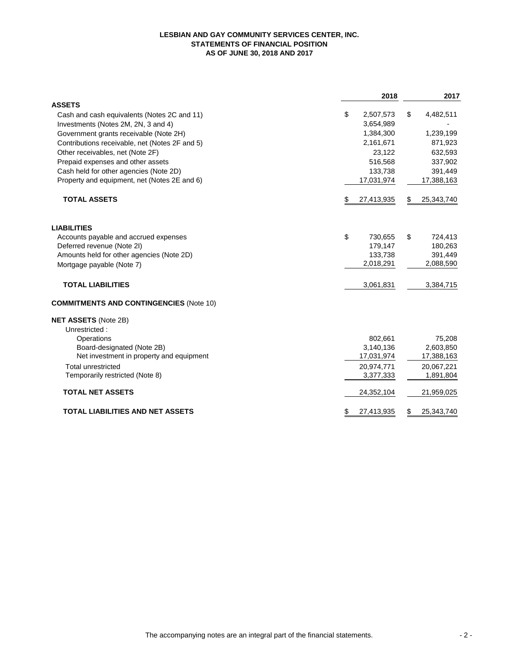#### **LESBIAN AND GAY COMMUNITY SERVICES CENTER, INC. STATEMENTS OF FINANCIAL POSITION AS OF JUNE 30, 2018 AND 2017**

|                                                |    | 2018       |    | 2017       |
|------------------------------------------------|----|------------|----|------------|
| <b>ASSETS</b>                                  |    |            |    |            |
| Cash and cash equivalents (Notes 2C and 11)    | \$ | 2,507,573  | \$ | 4,482,511  |
| Investments (Notes 2M, 2N, 3 and 4)            |    | 3,654,989  |    |            |
| Government grants receivable (Note 2H)         |    | 1,384,300  |    | 1,239,199  |
| Contributions receivable, net (Notes 2F and 5) |    | 2,161,671  |    | 871,923    |
| Other receivables, net (Note 2F)               |    | 23,122     |    | 632,593    |
| Prepaid expenses and other assets              |    | 516,568    |    | 337,902    |
| Cash held for other agencies (Note 2D)         |    | 133,738    |    | 391,449    |
| Property and equipment, net (Notes 2E and 6)   |    | 17,031,974 |    | 17,388,163 |
| <b>TOTAL ASSETS</b>                            | S  | 27,413,935 | S  | 25,343,740 |
| <b>LIABILITIES</b>                             |    |            |    |            |
| Accounts payable and accrued expenses          | \$ | 730,655    | \$ | 724,413    |
| Deferred revenue (Note 2I)                     |    | 179,147    |    | 180,263    |
| Amounts held for other agencies (Note 2D)      |    | 133,738    |    | 391,449    |
| Mortgage payable (Note 7)                      |    | 2,018,291  |    | 2,088,590  |
| <b>TOTAL LIABILITIES</b>                       |    | 3,061,831  |    | 3,384,715  |
| <b>COMMITMENTS AND CONTINGENCIES (Note 10)</b> |    |            |    |            |
| <b>NET ASSETS (Note 2B)</b>                    |    |            |    |            |
| Unrestricted:                                  |    |            |    |            |
| Operations                                     |    | 802.661    |    | 75.208     |
| Board-designated (Note 2B)                     |    | 3,140,136  |    | 2,603,850  |
| Net investment in property and equipment       |    | 17,031,974 |    | 17,388,163 |
| <b>Total unrestricted</b>                      |    | 20,974,771 |    | 20,067,221 |
| Temporarily restricted (Note 8)                |    | 3,377,333  |    | 1,891,804  |
| <b>TOTAL NET ASSETS</b>                        |    | 24,352,104 |    | 21,959,025 |
| <b>TOTAL LIABILITIES AND NET ASSETS</b>        |    | 27,413,935 |    | 25,343,740 |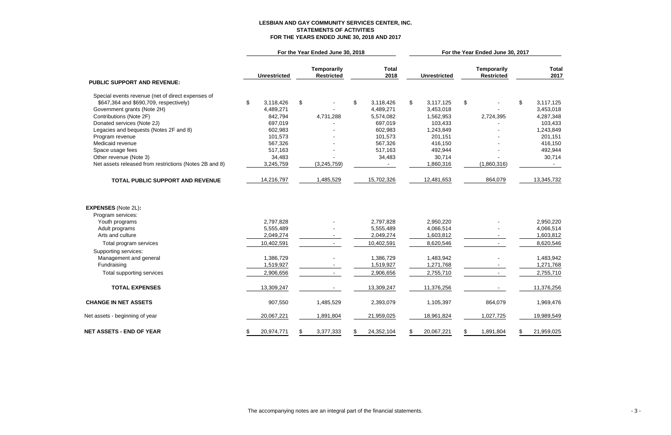# **LESBIAN AND GAY COMMUNITY SERVICES CENTER, INC. STATEMENTS OF ACTIVITIES FOR THE YEARS ENDED JUNE 30, 2018 AND 2017**

|                                                        | For the Year Ended June 30, 2018 |                     |    |                                         |    |                      | For the Year Ended June 30, 2017 |                     |    |                                         |     |                      |
|--------------------------------------------------------|----------------------------------|---------------------|----|-----------------------------------------|----|----------------------|----------------------------------|---------------------|----|-----------------------------------------|-----|----------------------|
|                                                        |                                  | <b>Unrestricted</b> |    | <b>Temporarily</b><br><b>Restricted</b> |    | <b>Total</b><br>2018 |                                  | <b>Unrestricted</b> |    | <b>Temporarily</b><br><b>Restricted</b> |     | <b>Total</b><br>2017 |
| <b>PUBLIC SUPPORT AND REVENUE:</b>                     |                                  |                     |    |                                         |    |                      |                                  |                     |    |                                         |     |                      |
| Special events revenue (net of direct expenses of      |                                  |                     |    |                                         |    |                      |                                  |                     |    |                                         |     |                      |
| \$647,364 and \$690,709, respectively)                 | \$                               | 3,118,426           | \$ |                                         | \$ | 3,118,426            | \$                               | 3,117,125           | \$ |                                         | \$  | 3,117,125            |
| Government grants (Note 2H)                            |                                  | 4,489,271           |    |                                         |    | 4,489,271            |                                  | 3,453,018           |    |                                         |     | 3,453,018            |
| Contributions (Note 2F)                                |                                  | 842,794             |    | 4,731,288                               |    | 5,574,082            |                                  | 1,562,953           |    | 2,724,395                               |     | 4,287,348            |
| Donated services (Note 2J)                             |                                  | 697,019             |    |                                         |    | 697,019              |                                  | 103,433             |    |                                         |     | 103,433              |
| Legacies and bequests (Notes 2F and 8)                 |                                  | 602,983             |    |                                         |    | 602,983              |                                  | 1,243,849           |    |                                         |     | 1,243,849            |
| Program revenue                                        |                                  | 101,573             |    |                                         |    | 101,573              |                                  | 201,151             |    |                                         |     | 201,151              |
| Medicaid revenue                                       |                                  | 567,326             |    |                                         |    | 567,326              |                                  | 416,150             |    |                                         |     | 416,150              |
| Space usage fees                                       |                                  | 517,163             |    |                                         |    | 517,163              |                                  | 492,944             |    |                                         |     | 492,944              |
| Other revenue (Note 3)                                 |                                  | 34,483              |    |                                         |    | 34,483               |                                  | 30,714              |    |                                         |     | 30,714               |
| Net assets released from restrictions (Notes 2B and 8) |                                  | 3,245,759           |    | (3,245,759)                             |    |                      |                                  | 1,860,316           |    | (1,860,316)                             |     |                      |
| TOTAL PUBLIC SUPPORT AND REVENUE                       |                                  | 14,216,797          |    | 1,485,529                               |    | 15,702,326           |                                  | 12,481,653          |    | 864,079                                 |     | 13,345,732           |
| <b>EXPENSES</b> (Note 2L):<br>Program services:        |                                  |                     |    |                                         |    |                      |                                  |                     |    |                                         |     |                      |
| Youth programs                                         |                                  | 2,797,828           |    |                                         |    | 2,797,828            |                                  | 2,950,220           |    |                                         |     | 2,950,220            |
| Adult programs                                         |                                  | 5,555,489           |    |                                         |    | 5,555,489            |                                  | 4,066,514           |    |                                         |     | 4,066,514            |
| Arts and culture                                       |                                  | 2,049,274           |    |                                         |    | 2,049,274            |                                  | 1,603,812           |    |                                         |     | 1,603,812            |
| Total program services                                 |                                  | 10,402,591          |    |                                         |    | 10,402,591           |                                  | 8,620,546           |    |                                         |     | 8,620,546            |
| Supporting services:                                   |                                  |                     |    |                                         |    |                      |                                  |                     |    |                                         |     |                      |
| Management and general                                 |                                  | 1,386,729           |    |                                         |    | 1,386,729            |                                  | 1,483,942           |    |                                         |     | 1,483,942            |
| Fundraising                                            |                                  | 1,519,927           |    |                                         |    | 1,519,927            |                                  | 1,271,768           |    |                                         |     | 1,271,768            |
| Total supporting services                              |                                  | 2,906,656           |    |                                         |    | 2,906,656            |                                  | 2,755,710           |    |                                         |     | 2,755,710            |
| <b>TOTAL EXPENSES</b>                                  |                                  | 13,309,247          |    |                                         |    | 13,309,247           |                                  | 11,376,256          |    |                                         |     | 11,376,256           |
| <b>CHANGE IN NET ASSETS</b>                            |                                  | 907,550             |    | 1,485,529                               |    | 2,393,079            |                                  | 1,105,397           |    | 864,079                                 |     | 1,969,476            |
| Net assets - beginning of year                         |                                  | 20,067,221          |    | 1,891,804                               |    | 21,959,025           |                                  | 18,961,824          |    | 1,027,725                               |     | 19,989,549           |
| <b>NET ASSETS - END OF YEAR</b>                        |                                  | 20,974,771          |    | 3,377,333                               | \$ | 24,352,104           | \$                               | 20,067,221          | \$ | 1,891,804                               | SS. | 21,959,025           |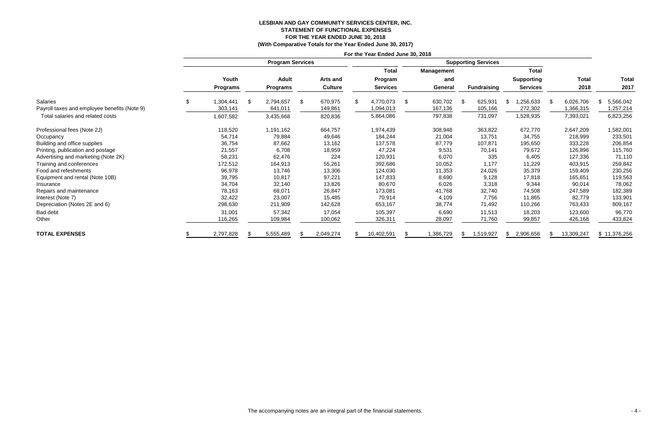# **LESBIAN AND GAY COMMUNITY SERVICES CENTER, INC. STATEMENT OF FUNCTIONAL EXPENSES FOR THE YEAR ENDED JUNE 30, 2018**

**(With Comparative Totals for the Year Ended June 30, 2017)**

|                                              | For the Year Ended June 30, 2018 |                 |  |                         |    |                 |     |                            |    |                   |     |                    |     |                   |      |              |                |
|----------------------------------------------|----------------------------------|-----------------|--|-------------------------|----|-----------------|-----|----------------------------|----|-------------------|-----|--------------------|-----|-------------------|------|--------------|----------------|
|                                              |                                  |                 |  | <b>Program Services</b> |    |                 |     | <b>Supporting Services</b> |    |                   |     |                    |     |                   |      |              |                |
|                                              |                                  |                 |  |                         |    |                 |     | <b>Total</b>               |    | <b>Management</b> |     |                    |     | <b>Total</b>      |      |              |                |
|                                              |                                  | Youth           |  | <b>Adult</b>            |    | <b>Arts and</b> |     | Program                    |    | and               |     |                    |     | <b>Supporting</b> |      | <b>Total</b> | <b>Total</b>   |
|                                              |                                  | <b>Programs</b> |  | <b>Programs</b>         |    | <b>Culture</b>  |     | <b>Services</b>            |    | General           |     | <b>Fundraising</b> |     | <b>Services</b>   |      | 2018         | 2017           |
| Salaries                                     | \$                               | 1,304,441       |  | 2,794,657               | \$ | 670,975         | \$. | 4,770,073                  | \$ | 630,702           | \$  | 625,931            | \$. | ,256,633          | - \$ | 6,026,706    | 5,566,042<br>S |
| Payroll taxes and employee benefits (Note 9) |                                  | 303,141         |  | 641,011                 |    | 149,861         |     | 1,094,013                  |    | 167,136           |     | 105,166            |     | 272,302           |      | 1,366,315    | 1,257,214      |
| Total salaries and related costs             |                                  | 1,607,582       |  | 3,435,668               |    | 820,836         |     | 5,864,086                  |    | 797,838           |     | 731,097            |     | 1,528,935         |      | 7,393,021    | 6,823,256      |
| Professional fees (Note 2J)                  |                                  | 118,520         |  | 1,191,162               |    | 664,757         |     | 1,974,439                  |    | 308,948           |     | 363,822            |     | 672,770           |      | 2,647,209    | 1,582,001      |
| Occupancy                                    |                                  | 54,714          |  | 79,884                  |    | 49,646          |     | 184,244                    |    | 21,004            |     | 13,751             |     | 34,755            |      | 218,999      | 233,501        |
| Building and office supplies                 |                                  | 36,754          |  | 87,662                  |    | 13,162          |     | 137,578                    |    | 87,779            |     | 107,871            |     | 195,650           |      | 333,228      | 206,854        |
| Printing, publication and postage            |                                  | 21,557          |  | 6,708                   |    | 18,959          |     | 47,224                     |    | 9,531             |     | 70,141             |     | 79,672            |      | 126,896      | 115,760        |
| Advertising and marketing (Note 2K)          |                                  | 58,231          |  | 62,476                  |    | 224             |     | 120,931                    |    | 6,070             |     | 335                |     | 6,405             |      | 127,336      | 71,110         |
| Training and conferences                     |                                  | 172,512         |  | 164,913                 |    | 55,261          |     | 392,686                    |    | 10,052            |     | 1,177              |     | 11,229            |      | 403,915      | 259,842        |
| Food and refeshments                         |                                  | 96,978          |  | 13,746                  |    | 13,306          |     | 124,030                    |    | 11,353            |     | 24,026             |     | 35,379            |      | 159,409      | 230,256        |
| Equipment and rental (Note 10B)              |                                  | 39,795          |  | 10,817                  |    | 97,221          |     | 147,833                    |    | 8,690             |     | 9,128              |     | 17,818            |      | 165,651      | 119,563        |
| Insurance                                    |                                  | 34,704          |  | 32,140                  |    | 13,826          |     | 80,670                     |    | 6,026             |     | 3,318              |     | 9,344             |      | 90,014       | 78,062         |
| Repairs and maintenance                      |                                  | 78,163          |  | 68,071                  |    | 26,847          |     | 173,081                    |    | 41,768            |     | 32,740             |     | 74,508            |      | 247,589      | 182,389        |
| Interest (Note 7)                            |                                  | 32,422          |  | 23,007                  |    | 15,485          |     | 70,914                     |    | 4,109             |     | 7,756              |     | 11,865            |      | 82,779       | 133,901        |
| Depreciation (Notes 2E and 6)                |                                  | 298,630         |  | 211,909                 |    | 142,628         |     | 653,167                    |    | 38,774            |     | 71,492             |     | 110,266           |      | 763,433      | 809,167        |
| Bad debt                                     |                                  | 31,001          |  | 57,342                  |    | 17,054          |     | 105,397                    |    | 6,690             |     | 11,513             |     | 18,203            |      | 123,600      | 96,770         |
| Other                                        |                                  | 116,265         |  | 109,984                 |    | 100,062         |     | 326,311                    |    | 28,097            |     | 71,760             |     | 99,857            |      | 426,168      | 433,824        |
| <b>TOTAL EXPENSES</b>                        |                                  | 2,797,828       |  | 5,555,489               |    | 2,049,274       |     | 10,402,591                 |    | 1,386,729         | -85 | 1,519,927          | S.  | 2,906,656         |      | 13,309,247   | \$11,376,256   |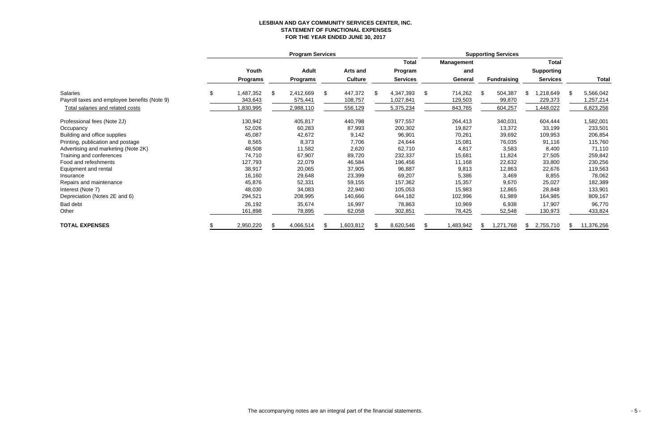# **LESBIAN AND GAY COMMUNITY SERVICES CENTER, INC. STATEMENT OF FUNCTIONAL EXPENSES FOR THE YEAR ENDED JUNE 30, 2017**

|                                              | <b>Program Services</b> |    |                 |    |                |     |                 | <b>Supporting Services</b> |                   |    |                    |    |                   |                 |
|----------------------------------------------|-------------------------|----|-----------------|----|----------------|-----|-----------------|----------------------------|-------------------|----|--------------------|----|-------------------|-----------------|
|                                              |                         |    |                 |    |                |     | <b>Total</b>    |                            | <b>Management</b> |    |                    |    | <b>Total</b>      |                 |
|                                              | Youth                   |    | <b>Adult</b>    |    | Arts and       |     | Program         |                            | and               |    |                    |    | <b>Supporting</b> |                 |
|                                              | <b>Programs</b>         |    | <b>Programs</b> |    | <b>Culture</b> |     | <b>Services</b> |                            | General           |    | <b>Fundraising</b> |    | <b>Services</b>   | <b>Total</b>    |
| <b>Salaries</b>                              | \$<br>1,487,352         | \$ | 2,412,669       | \$ | 447,372        | \$. | 4,347,393       | \$                         | 714,262           | \$ | 504,387            | S  | 1,218,649         | \$<br>5,566,042 |
| Payroll taxes and employee benefits (Note 9) | 343,643                 |    | 575,441         |    | 108,757        |     | 1,027,841       |                            | 129,503           |    | 99,870             |    | 229,373           | ,257,214        |
| Total salaries and related costs             | 830,995                 |    | 2,988,110       |    | 556,129        |     | 5,375,234       |                            | 843,765           |    | 604,257            |    | 1,448,022         | 6,823,256       |
| Professional fees (Note 2J)                  | 130,942                 |    | 405,817         |    | 440,798        |     | 977,557         |                            | 264,413           |    | 340,031            |    | 604,444           | 1,582,001       |
| Occupancy                                    | 52,026                  |    | 60,283          |    | 87,993         |     | 200,302         |                            | 19,827            |    | 13,372             |    | 33,199            | 233,501         |
| Building and office supplies                 | 45,087                  |    | 42,672          |    | 9,142          |     | 96,901          |                            | 70,261            |    | 39,692             |    | 109,953           | 206,854         |
| Printing, publication and postage            | 8,565                   |    | 8,373           |    | 7,706          |     | 24,644          |                            | 15,081            |    | 76,035             |    | 91,116            | 115,760         |
| Advertising and marketing (Note 2K)          | 48,508                  |    | 11,582          |    | 2,620          |     | 62,710          |                            | 4,817             |    | 3,583              |    | 8,400             | 71,110          |
| Training and conferences                     | 74,710                  |    | 67,907          |    | 89,720         |     | 232,337         |                            | 15,681            |    | 11,824             |    | 27,505            | 259,842         |
| Food and refeshments                         | 127,793                 |    | 22,079          |    | 46,584         |     | 196,456         |                            | 11,168            |    | 22,632             |    | 33,800            | 230,256         |
| Equipment and rental                         | 38,917                  |    | 20,065          |    | 37,905         |     | 96,887          |                            | 9,813             |    | 12,863             |    | 22,676            | 119,563         |
| Insurance                                    | 16,160                  |    | 29,648          |    | 23,399         |     | 69,207          |                            | 5,386             |    | 3,469              |    | 8,855             | 78,062          |
| Repairs and maintenance                      | 45,876                  |    | 52,331          |    | 59,155         |     | 157,362         |                            | 15,357            |    | 9,670              |    | 25,027            | 182,389         |
| Interest (Note 7)                            | 48,030                  |    | 34,083          |    | 22,940         |     | 105,053         |                            | 15,983            |    | 12,865             |    | 28,848            | 133,901         |
| Depreciation (Notes 2E and 6)                | 294,521                 |    | 208,995         |    | 140,666        |     | 644,182         |                            | 102,996           |    | 61,989             |    | 164,985           | 809,167         |
| Bad debt                                     | 26,192                  |    | 35,674          |    | 16,997         |     | 78,863          |                            | 10,969            |    | 6,938              |    | 17,907            | 96,770          |
| Other                                        | 161,898                 |    | 78,895          |    | 62,058         |     | 302,851         |                            | 78,425            |    | 52,548             |    | 130,973           | 433,824         |
| <b>TOTAL EXPENSES</b>                        | 2,950,220               |    | 4,066,514       |    | ,603,812       |     | 8,620,546       |                            | 1,483,942         |    | 1,271,768          | S. | 2,755,710         | 11,376,256      |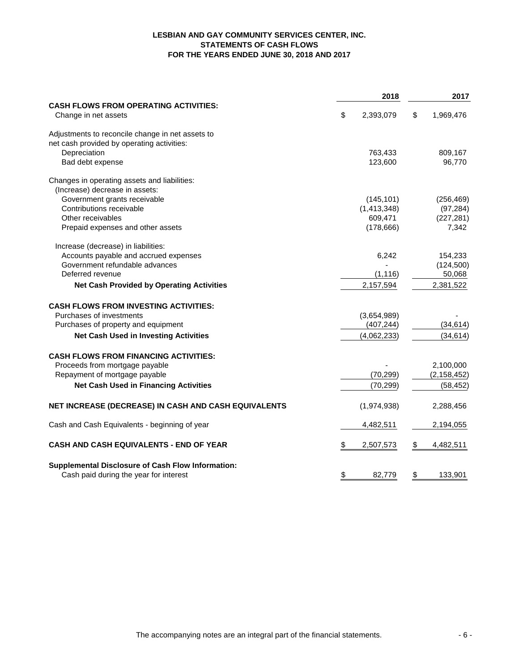# **LESBIAN AND GAY COMMUNITY SERVICES CENTER, INC. STATEMENTS OF CASH FLOWS FOR THE YEARS ENDED JUNE 30, 2018 AND 2017**

|                                                                      | 2018            | 2017            |
|----------------------------------------------------------------------|-----------------|-----------------|
| <b>CASH FLOWS FROM OPERATING ACTIVITIES:</b><br>Change in net assets | \$<br>2,393,079 | \$<br>1,969,476 |
| Adjustments to reconcile change in net assets to                     |                 |                 |
| net cash provided by operating activities:                           |                 |                 |
| Depreciation                                                         | 763,433         | 809,167         |
| Bad debt expense                                                     | 123,600         | 96,770          |
| Changes in operating assets and liabilities:                         |                 |                 |
| (Increase) decrease in assets:                                       |                 |                 |
| Government grants receivable                                         | (145, 101)      | (256, 469)      |
| Contributions receivable                                             | (1,413,348)     | (97, 284)       |
| Other receivables                                                    | 609,471         | (227, 281)      |
| Prepaid expenses and other assets                                    | (178, 666)      | 7,342           |
| Increase (decrease) in liabilities:                                  |                 |                 |
| Accounts payable and accrued expenses                                | 6,242           | 154,233         |
| Government refundable advances                                       |                 | (124, 500)      |
| Deferred revenue                                                     | (1, 116)        | 50,068          |
| <b>Net Cash Provided by Operating Activities</b>                     | 2,157,594       | 2,381,522       |
| <b>CASH FLOWS FROM INVESTING ACTIVITIES:</b>                         |                 |                 |
| Purchases of investments                                             | (3,654,989)     |                 |
| Purchases of property and equipment                                  | (407, 244)      | (34, 614)       |
| <b>Net Cash Used in Investing Activities</b>                         | (4,062,233)     | (34, 614)       |
| <b>CASH FLOWS FROM FINANCING ACTIVITIES:</b>                         |                 |                 |
| Proceeds from mortgage payable                                       |                 | 2,100,000       |
| Repayment of mortgage payable                                        | (70, 299)       | (2, 158, 452)   |
| <b>Net Cash Used in Financing Activities</b>                         | (70, 299)       | (58, 452)       |
| NET INCREASE (DECREASE) IN CASH AND CASH EQUIVALENTS                 | (1,974,938)     | 2,288,456       |
|                                                                      |                 |                 |
| Cash and Cash Equivalents - beginning of year                        | 4,482,511       | 2,194,055       |
| CASH AND CASH EQUIVALENTS - END OF YEAR                              | \$<br>2,507,573 | \$<br>4,482,511 |
| <b>Supplemental Disclosure of Cash Flow Information:</b>             |                 |                 |
| Cash paid during the year for interest                               | \$<br>82,779    | \$<br>133,901   |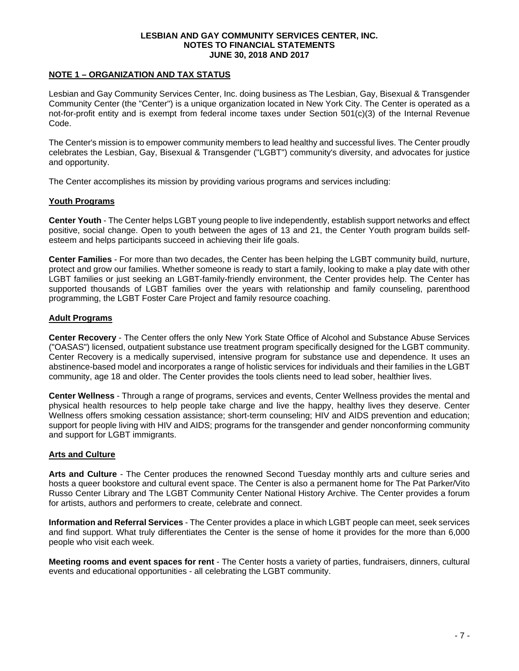### **NOTE 1 – ORGANIZATION AND TAX STATUS**

Lesbian and Gay Community Services Center, Inc. doing business as The Lesbian, Gay, Bisexual & Transgender Community Center (the "Center") is a unique organization located in New York City. The Center is operated as a not-for-profit entity and is exempt from federal income taxes under Section 501(c)(3) of the Internal Revenue Code.

The Center's mission is to empower community members to lead healthy and successful lives. The Center proudly celebrates the Lesbian, Gay, Bisexual & Transgender ("LGBT") community's diversity, and advocates for justice and opportunity.

The Center accomplishes its mission by providing various programs and services including:

### **Youth Programs**

**Center Youth** - The Center helps LGBT young people to live independently, establish support networks and effect positive, social change. Open to youth between the ages of 13 and 21, the Center Youth program builds selfesteem and helps participants succeed in achieving their life goals.

**Center Families** - For more than two decades, the Center has been helping the LGBT community build, nurture, protect and grow our families. Whether someone is ready to start a family, looking to make a play date with other LGBT families or just seeking an LGBT-family-friendly environment, the Center provides help. The Center has supported thousands of LGBT families over the years with relationship and family counseling, parenthood programming, the LGBT Foster Care Project and family resource coaching.

### **Adult Programs**

**Center Recovery** - The Center offers the only New York State Office of Alcohol and Substance Abuse Services ("OASAS") licensed, outpatient substance use treatment program specifically designed for the LGBT community. Center Recovery is a medically supervised, intensive program for substance use and dependence. It uses an abstinence-based model and incorporates a range of holistic services for individuals and their families in the LGBT community, age 18 and older. The Center provides the tools clients need to lead sober, healthier lives.

**Center Wellness** - Through a range of programs, services and events, Center Wellness provides the mental and physical health resources to help people take charge and live the happy, healthy lives they deserve. Center Wellness offers smoking cessation assistance; short-term counseling; HIV and AIDS prevention and education; support for people living with HIV and AIDS; programs for the transgender and gender nonconforming community and support for LGBT immigrants.

# **Arts and Culture**

**Arts and Culture** - The Center produces the renowned Second Tuesday monthly arts and culture series and hosts a queer bookstore and cultural event space. The Center is also a permanent home for The Pat Parker/Vito Russo Center Library and The LGBT Community Center National History Archive. The Center provides a forum for artists, authors and performers to create, celebrate and connect.

**Information and Referral Services** - The Center provides a place in which LGBT people can meet, seek services and find support. What truly differentiates the Center is the sense of home it provides for the more than 6,000 people who visit each week.

**Meeting rooms and event spaces for rent** - The Center hosts a variety of parties, fundraisers, dinners, cultural events and educational opportunities - all celebrating the LGBT community.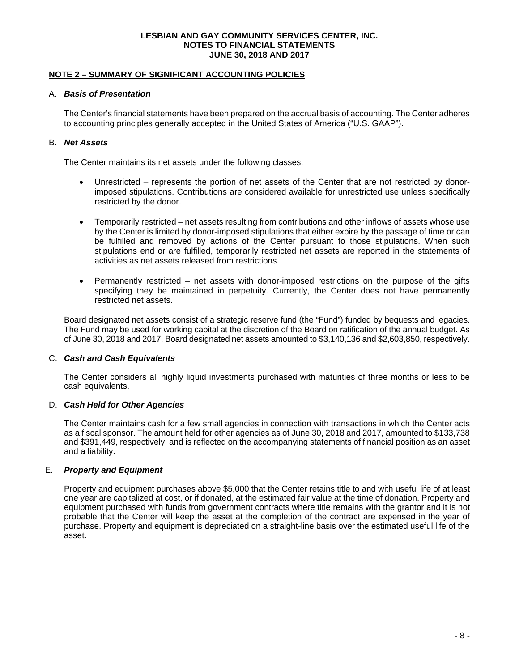### **NOTE 2 – SUMMARY OF SIGNIFICANT ACCOUNTING POLICIES**

#### A. *Basis of Presentation*

The Center's financial statements have been prepared on the accrual basis of accounting. The Center adheres to accounting principles generally accepted in the United States of America ("U.S. GAAP").

# B. *Net Assets*

The Center maintains its net assets under the following classes:

- Unrestricted represents the portion of net assets of the Center that are not restricted by donorimposed stipulations. Contributions are considered available for unrestricted use unless specifically restricted by the donor.
- Temporarily restricted net assets resulting from contributions and other inflows of assets whose use by the Center is limited by donor-imposed stipulations that either expire by the passage of time or can be fulfilled and removed by actions of the Center pursuant to those stipulations. When such stipulations end or are fulfilled, temporarily restricted net assets are reported in the statements of activities as net assets released from restrictions.
- Permanently restricted net assets with donor-imposed restrictions on the purpose of the gifts specifying they be maintained in perpetuity. Currently, the Center does not have permanently restricted net assets.

Board designated net assets consist of a strategic reserve fund (the "Fund") funded by bequests and legacies. The Fund may be used for working capital at the discretion of the Board on ratification of the annual budget. As of June 30, 2018 and 2017, Board designated net assets amounted to \$3,140,136 and \$2,603,850, respectively.

# C. *Cash and Cash Equivalents*

The Center considers all highly liquid investments purchased with maturities of three months or less to be cash equivalents.

# D. *Cash Held for Other Agencies*

The Center maintains cash for a few small agencies in connection with transactions in which the Center acts as a fiscal sponsor. The amount held for other agencies as of June 30, 2018 and 2017, amounted to \$133,738 and \$391,449, respectively, and is reflected on the accompanying statements of financial position as an asset and a liability.

# E. *Property and Equipment*

Property and equipment purchases above \$5,000 that the Center retains title to and with useful life of at least one year are capitalized at cost, or if donated, at the estimated fair value at the time of donation. Property and equipment purchased with funds from government contracts where title remains with the grantor and it is not probable that the Center will keep the asset at the completion of the contract are expensed in the year of purchase. Property and equipment is depreciated on a straight-line basis over the estimated useful life of the asset.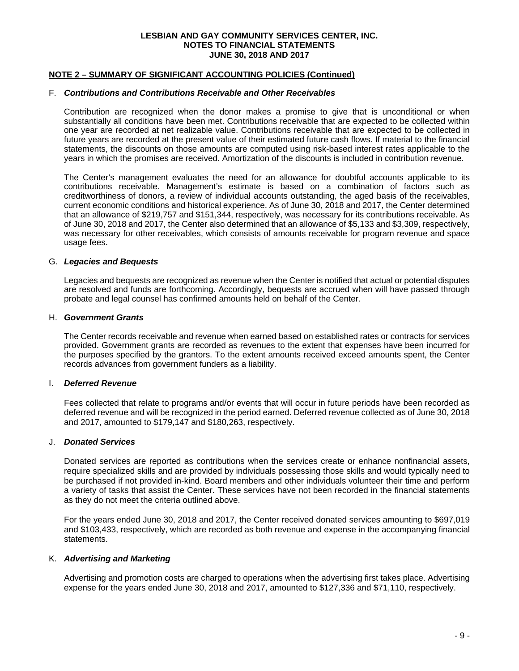# **NOTE 2 – SUMMARY OF SIGNIFICANT ACCOUNTING POLICIES (Continued)**

#### F. *Contributions and Contributions Receivable and Other Receivables*

Contribution are recognized when the donor makes a promise to give that is unconditional or when substantially all conditions have been met. Contributions receivable that are expected to be collected within one year are recorded at net realizable value. Contributions receivable that are expected to be collected in future years are recorded at the present value of their estimated future cash flows. If material to the financial statements, the discounts on those amounts are computed using risk-based interest rates applicable to the years in which the promises are received. Amortization of the discounts is included in contribution revenue.

The Center's management evaluates the need for an allowance for doubtful accounts applicable to its contributions receivable. Management's estimate is based on a combination of factors such as creditworthiness of donors, a review of individual accounts outstanding, the aged basis of the receivables, current economic conditions and historical experience. As of June 30, 2018 and 2017, the Center determined that an allowance of \$219,757 and \$151,344, respectively, was necessary for its contributions receivable. As of June 30, 2018 and 2017, the Center also determined that an allowance of \$5,133 and \$3,309, respectively, was necessary for other receivables, which consists of amounts receivable for program revenue and space usage fees.

#### G. *Legacies and Bequests*

Legacies and bequests are recognized as revenue when the Center is notified that actual or potential disputes are resolved and funds are forthcoming. Accordingly, bequests are accrued when will have passed through probate and legal counsel has confirmed amounts held on behalf of the Center.

#### H. *Government Grants*

The Center records receivable and revenue when earned based on established rates or contracts for services provided. Government grants are recorded as revenues to the extent that expenses have been incurred for the purposes specified by the grantors. To the extent amounts received exceed amounts spent, the Center records advances from government funders as a liability.

### I. *Deferred Revenue*

Fees collected that relate to programs and/or events that will occur in future periods have been recorded as deferred revenue and will be recognized in the period earned. Deferred revenue collected as of June 30, 2018 and 2017, amounted to \$179,147 and \$180,263, respectively.

#### J. *Donated Services*

Donated services are reported as contributions when the services create or enhance nonfinancial assets, require specialized skills and are provided by individuals possessing those skills and would typically need to be purchased if not provided in-kind. Board members and other individuals volunteer their time and perform a variety of tasks that assist the Center. These services have not been recorded in the financial statements as they do not meet the criteria outlined above.

For the years ended June 30, 2018 and 2017, the Center received donated services amounting to \$697,019 and \$103,433, respectively, which are recorded as both revenue and expense in the accompanying financial statements.

# K. *Advertising and Marketing*

Advertising and promotion costs are charged to operations when the advertising first takes place. Advertising expense for the years ended June 30, 2018 and 2017, amounted to \$127,336 and \$71,110, respectively.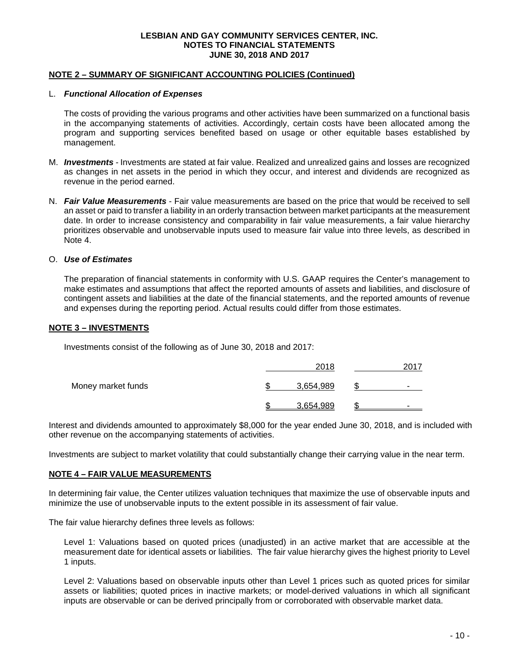## **NOTE 2 – SUMMARY OF SIGNIFICANT ACCOUNTING POLICIES (Continued)**

#### L. *Functional Allocation of Expenses*

The costs of providing the various programs and other activities have been summarized on a functional basis in the accompanying statements of activities. Accordingly, certain costs have been allocated among the program and supporting services benefited based on usage or other equitable bases established by management.

- M. *Investments -* Investments are stated at fair value. Realized and unrealized gains and losses are recognized as changes in net assets in the period in which they occur, and interest and dividends are recognized as revenue in the period earned.
- N. *Fair Value Measurements* Fair value measurements are based on the price that would be received to sell an asset or paid to transfer a liability in an orderly transaction between market participants at the measurement date. In order to increase consistency and comparability in fair value measurements, a fair value hierarchy prioritizes observable and unobservable inputs used to measure fair value into three levels, as described in Note 4.

#### O. *Use of Estimates*

The preparation of financial statements in conformity with U.S. GAAP requires the Center's management to make estimates and assumptions that affect the reported amounts of assets and liabilities, and disclosure of contingent assets and liabilities at the date of the financial statements, and the reported amounts of revenue and expenses during the reporting period. Actual results could differ from those estimates.

#### **NOTE 3 – INVESTMENTS**

Investments consist of the following as of June 30, 2018 and 2017:

|                    | 2018      | 2017 |
|--------------------|-----------|------|
| Money market funds | 3,654,989 |      |
|                    | 3,654,989 |      |

Interest and dividends amounted to approximately \$8,000 for the year ended June 30, 2018, and is included with other revenue on the accompanying statements of activities.

Investments are subject to market volatility that could substantially change their carrying value in the near term.

#### **NOTE 4 – FAIR VALUE MEASUREMENTS**

In determining fair value, the Center utilizes valuation techniques that maximize the use of observable inputs and minimize the use of unobservable inputs to the extent possible in its assessment of fair value.

The fair value hierarchy defines three levels as follows:

Level 1: Valuations based on quoted prices (unadjusted) in an active market that are accessible at the measurement date for identical assets or liabilities. The fair value hierarchy gives the highest priority to Level 1 inputs.

Level 2: Valuations based on observable inputs other than Level 1 prices such as quoted prices for similar assets or liabilities; quoted prices in inactive markets; or model-derived valuations in which all significant inputs are observable or can be derived principally from or corroborated with observable market data.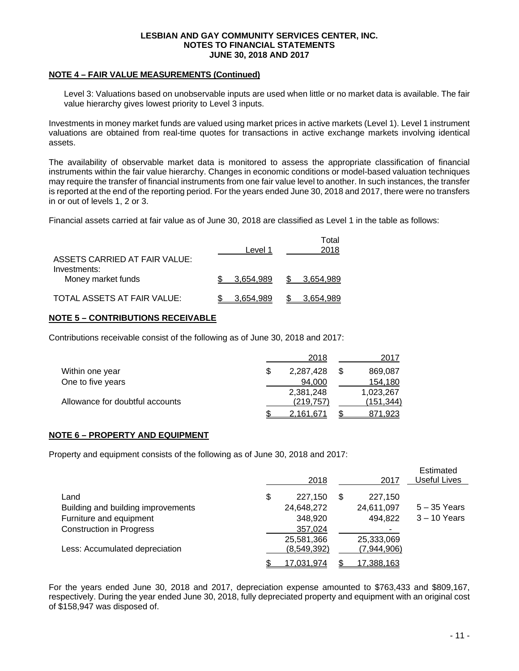#### **NOTE 4 – FAIR VALUE MEASUREMENTS (Continued)**

Level 3: Valuations based on unobservable inputs are used when little or no market data is available. The fair value hierarchy gives lowest priority to Level 3 inputs.

Investments in money market funds are valued using market prices in active markets (Level 1). Level 1 instrument valuations are obtained from real-time quotes for transactions in active exchange markets involving identical assets.

The availability of observable market data is monitored to assess the appropriate classification of financial instruments within the fair value hierarchy. Changes in economic conditions or model-based valuation techniques may require the transfer of financial instruments from one fair value level to another. In such instances, the transfer is reported at the end of the reporting period. For the years ended June 30, 2018 and 2017, there were no transfers in or out of levels 1, 2 or 3.

Financial assets carried at fair value as of June 30, 2018 are classified as Level 1 in the table as follows:

| ASSETS CARRIED AT FAIR VALUE:      | Level 1   | Total<br>2018 |
|------------------------------------|-----------|---------------|
| Investments:<br>Money market funds | 3.654.989 | \$ 3,654,989  |
| TOTAL ASSETS AT FAIR VALUE:        | 3.654.989 | 3.654.989     |

# **NOTE 5 – CONTRIBUTIONS RECEIVABLE**

Contributions receivable consist of the following as of June 30, 2018 and 2017:

|                                 | 2018       | 2017       |
|---------------------------------|------------|------------|
| Within one year                 | 2,287,428  | 869,087    |
| One to five years               | 94,000     | 154.180    |
|                                 | 2.381.248  | 1.023.267  |
| Allowance for doubtful accounts | (219, 757) | (151, 344) |
|                                 | 2.161.671  | 871.923    |

# **NOTE 6 – PROPERTY AND EQUIPMENT**

Property and equipment consists of the following as of June 30, 2018 and 2017:

|                                    | 2018              | 2017              | Estimated<br><b>Useful Lives</b> |
|------------------------------------|-------------------|-------------------|----------------------------------|
| Land                               | \$<br>227,150     | 227,150           |                                  |
| Building and building improvements | 24,648,272        | 24,611,097        | $5 - 35$ Years                   |
| Furniture and equipment            | 348,920           | 494,822           | $3 - 10$ Years                   |
| <b>Construction in Progress</b>    | 357,024           |                   |                                  |
|                                    | 25,581,366        | 25,333,069        |                                  |
| Less: Accumulated depreciation     | (8,549,392)       | (7,944,906)       |                                  |
|                                    | <u>17,031,974</u> | <u>17,388,163</u> |                                  |

For the years ended June 30, 2018 and 2017, depreciation expense amounted to \$763,433 and \$809,167, respectively. During the year ended June 30, 2018, fully depreciated property and equipment with an original cost of \$158,947 was disposed of.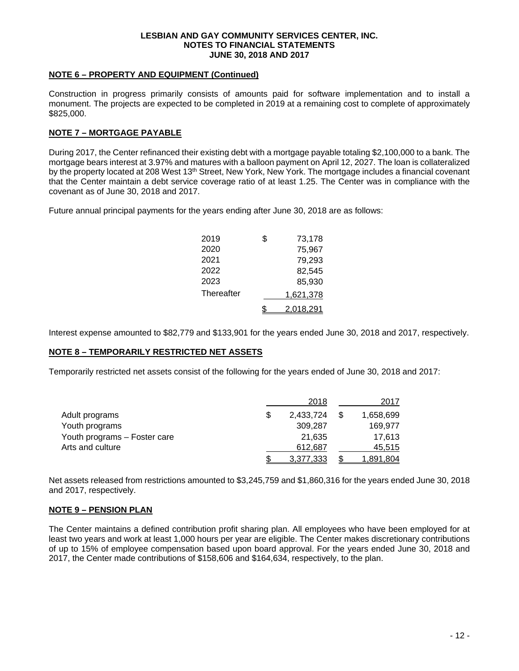#### **NOTE 6 – PROPERTY AND EQUIPMENT (Continued)**

Construction in progress primarily consists of amounts paid for software implementation and to install a monument. The projects are expected to be completed in 2019 at a remaining cost to complete of approximately \$825,000.

# **NOTE 7 – MORTGAGE PAYABLE**

During 2017, the Center refinanced their existing debt with a mortgage payable totaling \$2,100,000 to a bank. The mortgage bears interest at 3.97% and matures with a balloon payment on April 12, 2027. The loan is collateralized by the property located at 208 West 13<sup>th</sup> Street, New York, New York. The mortgage includes a financial covenant that the Center maintain a debt service coverage ratio of at least 1.25. The Center was in compliance with the covenant as of June 30, 2018 and 2017.

Future annual principal payments for the years ending after June 30, 2018 are as follows:

| 2019       | \$ | 73,178           |
|------------|----|------------------|
| 2020       |    | 75,967           |
| 2021       |    | 79,293           |
| 2022       |    | 82,545           |
| 2023       |    | 85,930           |
| Thereafter |    | 1,621,378        |
|            | S  | <u>2,018,291</u> |

Interest expense amounted to \$82,779 and \$133,901 for the years ended June 30, 2018 and 2017, respectively.

# **NOTE 8 – TEMPORARILY RESTRICTED NET ASSETS**

Temporarily restricted net assets consist of the following for the years ended of June 30, 2018 and 2017:

|                              |   | 2018      | 2017             |
|------------------------------|---|-----------|------------------|
| Adult programs               | S | 2,433,724 | 1,658,699        |
| Youth programs               |   | 309.287   | 169,977          |
| Youth programs - Foster care |   | 21.635    | 17.613           |
| Arts and culture             |   | 612.687   | 45,515           |
|                              |   | 3,377,333 | <u>1,891,804</u> |

Net assets released from restrictions amounted to \$3,245,759 and \$1,860,316 for the years ended June 30, 2018 and 2017, respectively.

# **NOTE 9 – PENSION PLAN**

The Center maintains a defined contribution profit sharing plan. All employees who have been employed for at least two years and work at least 1,000 hours per year are eligible. The Center makes discretionary contributions of up to 15% of employee compensation based upon board approval. For the years ended June 30, 2018 and 2017, the Center made contributions of \$158,606 and \$164,634, respectively, to the plan.